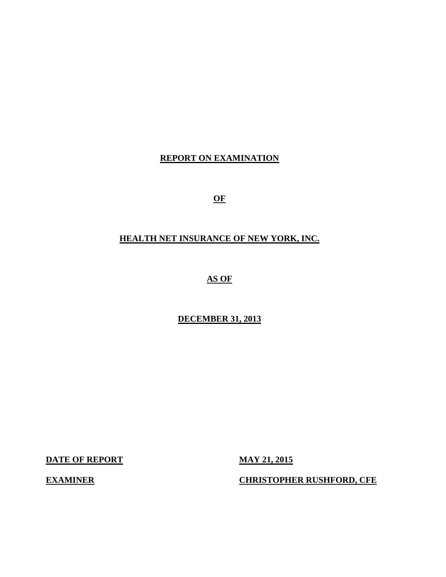## **REPORT ON EXAMINATION**

**OF** 

## **HEALTH NET INSURANCE OF NEW YORK, INC.**

**AS OF** 

**DECEMBER 31, 2013** 

**DATE OF REPORT MAY 21, 2015** 

**EXAMINER CHRISTOPHER RUSHFORD, CFE**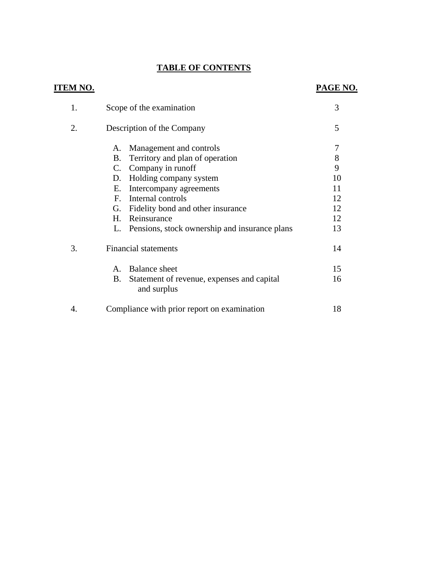# **TABLE OF CONTENTS**

| <b>ITEM NO.</b> |                                                                                                                                                                                                                                                                                                                        | PAGE NO.                                        |
|-----------------|------------------------------------------------------------------------------------------------------------------------------------------------------------------------------------------------------------------------------------------------------------------------------------------------------------------------|-------------------------------------------------|
| 1.              | Scope of the examination                                                                                                                                                                                                                                                                                               | 3                                               |
| 2.              | Description of the Company                                                                                                                                                                                                                                                                                             | 5                                               |
|                 | Management and controls<br>Α.<br>Territory and plan of operation<br>B.<br>C. Company in runoff<br>Holding company system<br>D.<br>Intercompany agreements<br>Е.<br>Internal controls<br>F<br>G. Fidelity bond and other insurance<br>Reinsurance<br>$H_{\cdot}$<br>Pensions, stock ownership and insurance plans<br>L. | 7<br>8<br>9<br>10<br>11<br>12<br>12<br>12<br>13 |
| 3.              | <b>Financial statements</b><br><b>Balance</b> sheet<br>$\mathbf{A}$<br>Β.<br>Statement of revenue, expenses and capital<br>and surplus                                                                                                                                                                                 | 14<br>15<br>16                                  |
| 4.              | Compliance with prior report on examination                                                                                                                                                                                                                                                                            | 18                                              |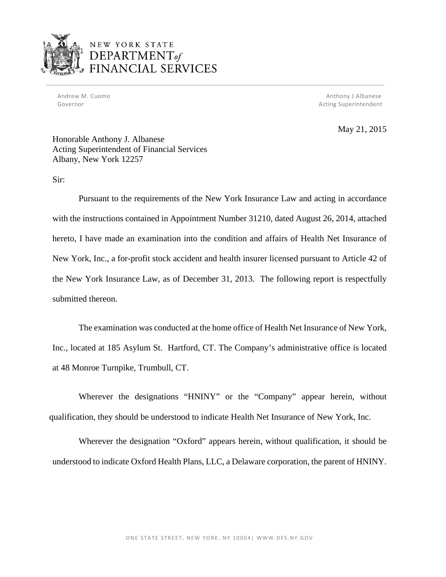

Governor and the contract of the contract of the contract of the contract of the contract of the contract of the contract of the contract of the contract of the contract of the contract of the contract of the contract of t

 Andrew M. Cuomo Anthony J Albanese Governor **Acting Superintendent** Controllering Superintendent Acting Superintendent

May 21, 2015

Honorable Anthony J. Albanese Acting Superintendent of Financial Services Albany, New York 12257

Sir:

Pursuant to the requirements of the New York Insurance Law and acting in accordance with the instructions contained in Appointment Number 31210, dated August 26, 2014, attached hereto, I have made an examination into the condition and affairs of Health Net Insurance of New York, Inc., a for-profit stock accident and health insurer licensed pursuant to Article 42 of the New York Insurance Law, as of December 31, 2013. The following report is respectfully submitted thereon.

The examination was conducted at the home office of Health Net Insurance of New York, Inc., located at 185 Asylum St. Hartford, CT. The Company's administrative office is located at 48 Monroe Turnpike, Trumbull, CT.

Wherever the designations "HNINY" or the "Company" appear herein, without qualification, they should be understood to indicate Health Net Insurance of New York, Inc.

Wherever the designation "Oxford" appears herein, without qualification, it should be understood to indicate Oxford Health Plans, LLC, a Delaware corporation, the parent of HNINY.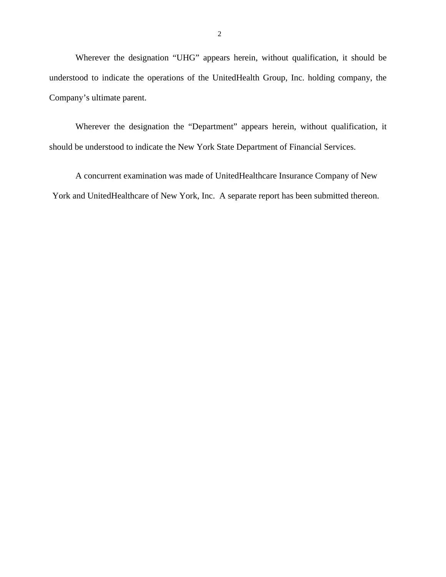Wherever the designation "UHG" appears herein, without qualification, it should be understood to indicate the operations of the UnitedHealth Group, Inc. holding company, the Company's ultimate parent.

Wherever the designation the "Department" appears herein, without qualification, it should be understood to indicate the New York State Department of Financial Services.

A concurrent examination was made of UnitedHealthcare Insurance Company of New York and UnitedHealthcare of New York, Inc. A separate report has been submitted thereon.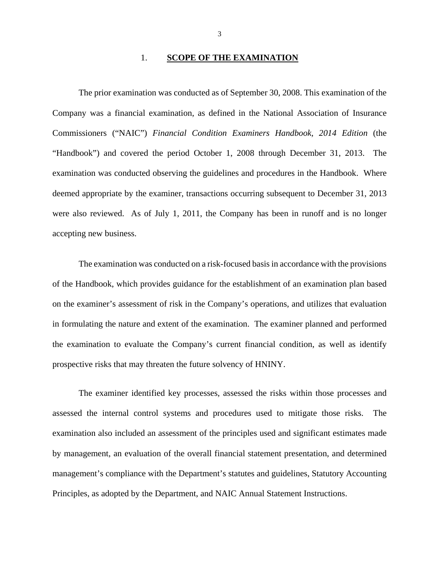#### 1. **SCOPE OF THE EXAMINATION**

The prior examination was conducted as of September 30, 2008. This examination of the Company was a financial examination, as defined in the National Association of Insurance Commissioners ("NAIC") *Financial Condition Examiners Handbook, 2014 Edition* (the "Handbook") and covered the period October 1, 2008 through December 31, 2013. The examination was conducted observing the guidelines and procedures in the Handbook. Where deemed appropriate by the examiner, transactions occurring subsequent to December 31, 2013 were also reviewed. As of July 1, 2011, the Company has been in runoff and is no longer accepting new business.

The examination was conducted on a risk-focused basis in accordance with the provisions of the Handbook, which provides guidance for the establishment of an examination plan based on the examiner's assessment of risk in the Company's operations, and utilizes that evaluation in formulating the nature and extent of the examination. The examiner planned and performed the examination to evaluate the Company's current financial condition, as well as identify prospective risks that may threaten the future solvency of HNINY.

The examiner identified key processes, assessed the risks within those processes and assessed the internal control systems and procedures used to mitigate those risks. The examination also included an assessment of the principles used and significant estimates made by management, an evaluation of the overall financial statement presentation, and determined management's compliance with the Department's statutes and guidelines, Statutory Accounting Principles, as adopted by the Department, and NAIC Annual Statement Instructions.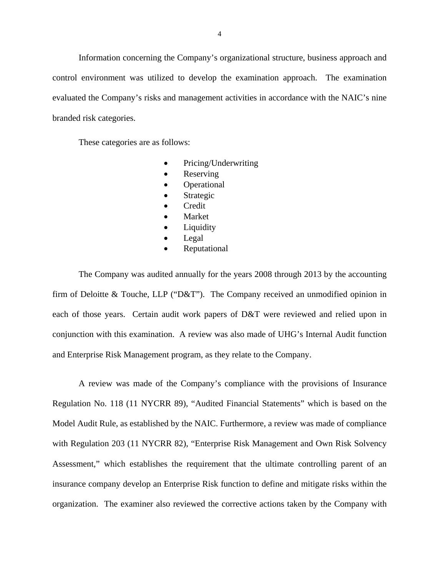Information concerning the Company's organizational structure, business approach and control environment was utilized to develop the examination approach. The examination evaluated the Company's risks and management activities in accordance with the NAIC's nine branded risk categories.

These categories are as follows:

- Pricing/Underwriting
- Reserving
- Operational
- Strategic
- Credit
- Market
- Liquidity
- Legal
- Reputational

The Company was audited annually for the years 2008 through 2013 by the accounting firm of Deloitte & Touche, LLP ("D&T"). The Company received an unmodified opinion in each of those years. Certain audit work papers of D&T were reviewed and relied upon in conjunction with this examination. A review was also made of UHG's Internal Audit function and Enterprise Risk Management program, as they relate to the Company.

A review was made of the Company's compliance with the provisions of Insurance Regulation No. 118 (11 NYCRR 89), "Audited Financial Statements" which is based on the Model Audit Rule, as established by the NAIC. Furthermore, a review was made of compliance with Regulation 203 (11 NYCRR 82), "Enterprise Risk Management and Own Risk Solvency Assessment," which establishes the requirement that the ultimate controlling parent of an insurance company develop an Enterprise Risk function to define and mitigate risks within the organization. The examiner also reviewed the corrective actions taken by the Company with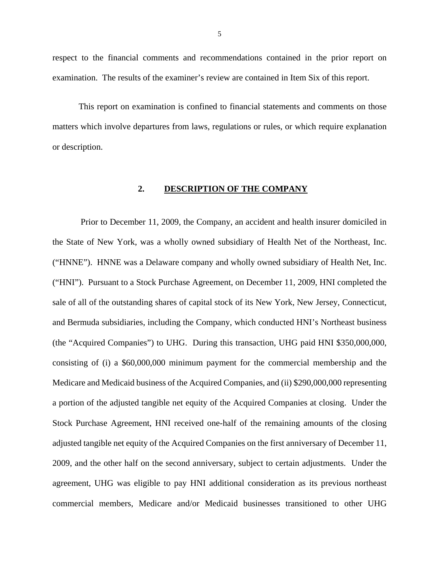respect to the financial comments and recommendations contained in the prior report on examination. The results of the examiner's review are contained in Item Six of this report.

This report on examination is confined to financial statements and comments on those matters which involve departures from laws, regulations or rules, or which require explanation or description.

## **2. DESCRIPTION OF THE COMPANY**

Prior to December 11, 2009, the Company, an accident and health insurer domiciled in the State of New York, was a wholly owned subsidiary of Health Net of the Northeast, Inc. ("HNNE"). HNNE was a Delaware company and wholly owned subsidiary of Health Net, Inc. ("HNI"). Pursuant to a Stock Purchase Agreement, on December 11, 2009, HNI completed the sale of all of the outstanding shares of capital stock of its New York, New Jersey, Connecticut, and Bermuda subsidiaries, including the Company, which conducted HNI's Northeast business (the "Acquired Companies") to UHG. During this transaction, UHG paid HNI \$350,000,000, consisting of (i) a \$60,000,000 minimum payment for the commercial membership and the Medicare and Medicaid business of the Acquired Companies, and (ii) \$290,000,000 representing a portion of the adjusted tangible net equity of the Acquired Companies at closing. Under the Stock Purchase Agreement, HNI received one-half of the remaining amounts of the closing adjusted tangible net equity of the Acquired Companies on the first anniversary of December 11, 2009, and the other half on the second anniversary, subject to certain adjustments. Under the agreement, UHG was eligible to pay HNI additional consideration as its previous northeast commercial members, Medicare and/or Medicaid businesses transitioned to other UHG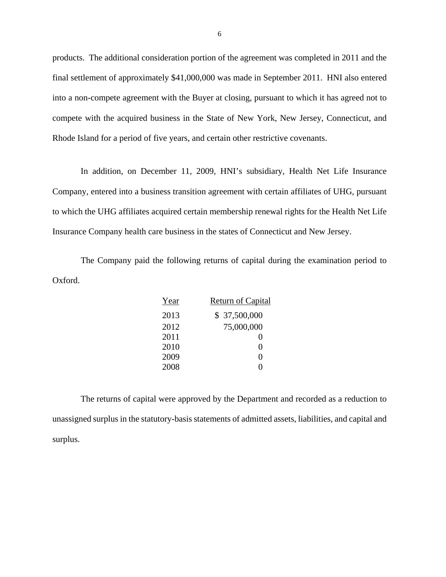products. The additional consideration portion of the agreement was completed in 2011 and the final settlement of approximately \$41,000,000 was made in September 2011. HNI also entered into a non-compete agreement with the Buyer at closing, pursuant to which it has agreed not to compete with the acquired business in the State of New York, New Jersey, Connecticut, and Rhode Island for a period of five years, and certain other restrictive covenants.

In addition, on December 11, 2009, HNI's subsidiary, Health Net Life Insurance Company, entered into a business transition agreement with certain affiliates of UHG, pursuant to which the UHG affiliates acquired certain membership renewal rights for the Health Net Life Insurance Company health care business in the states of Connecticut and New Jersey.

The Company paid the following returns of capital during the examination period to Oxford.

| Year | <b>Return of Capital</b> |
|------|--------------------------|
| 2013 | \$37,500,000             |
| 2012 | 75,000,000               |
| 2011 | 0                        |
| 2010 | $\mathbf{\Omega}$        |
| 2009 | 0                        |
| 2008 |                          |

The returns of capital were approved by the Department and recorded as a reduction to unassigned surplus in the statutory-basis statements of admitted assets, liabilities, and capital and surplus.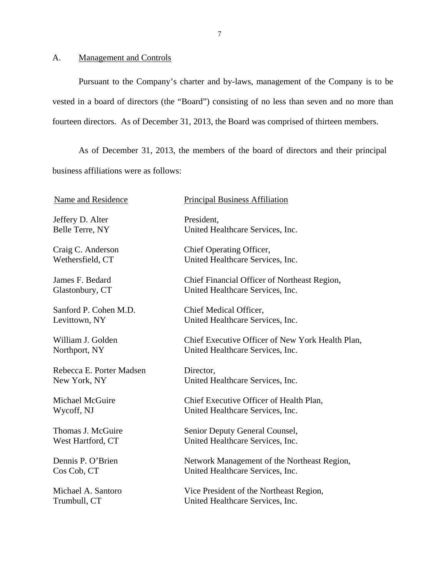## <span id="page-8-0"></span>A. Management and Controls

Pursuant to the Company's charter and by-laws, management of the Company is to be vested in a board of directors (the "Board") consisting of no less than seven and no more than fourteen directors. As of December 31, 2013, the Board was comprised of thirteen members.

 business affiliations were as follows: As of December 31, 2013, the members of the board of directors and their principal

| <b>Name and Residence</b> | <b>Principal Business Affiliation</b>            |
|---------------------------|--------------------------------------------------|
| Jeffery D. Alter          | President,                                       |
| Belle Terre, NY           | United Healthcare Services, Inc.                 |
| Craig C. Anderson         | Chief Operating Officer,                         |
| Wethersfield, CT          | United Healthcare Services, Inc.                 |
| James F. Bedard           | Chief Financial Officer of Northeast Region,     |
| Glastonbury, CT           | United Healthcare Services, Inc.                 |
| Sanford P. Cohen M.D.     | Chief Medical Officer,                           |
| Levittown, NY             | United Healthcare Services, Inc.                 |
| William J. Golden         | Chief Executive Officer of New York Health Plan, |
| Northport, NY             | United Healthcare Services, Inc.                 |
| Rebecca E. Porter Madsen  | Director,                                        |
| New York, NY              | United Healthcare Services, Inc.                 |
| Michael McGuire           | Chief Executive Officer of Health Plan,          |
| Wycoff, NJ                | United Healthcare Services, Inc.                 |
| Thomas J. McGuire         | Senior Deputy General Counsel,                   |
| West Hartford, CT         | United Healthcare Services, Inc.                 |
| Dennis P. O'Brien         | Network Management of the Northeast Region,      |
| Cos Cob, CT               | United Healthcare Services, Inc.                 |
| Michael A. Santoro        | Vice President of the Northeast Region,          |
| Trumbull, CT              | United Healthcare Services, Inc.                 |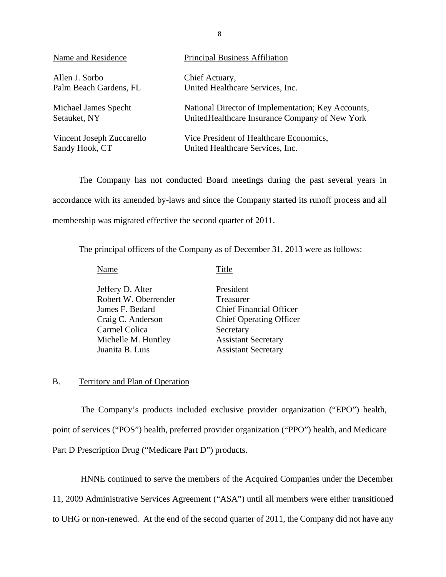| Name and Residence        | <b>Principal Business Affiliation</b>              |
|---------------------------|----------------------------------------------------|
| Allen J. Sorbo            | Chief Actuary,                                     |
| Palm Beach Gardens, FL    | United Healthcare Services, Inc.                   |
| Michael James Specht      | National Director of Implementation; Key Accounts, |
| Setauket, NY              | United Healthcare Insurance Company of New York    |
| Vincent Joseph Zuccarello | Vice President of Healthcare Economics,            |
| Sandy Hook, CT            | United Healthcare Services, Inc.                   |

The Company has not conducted Board meetings during the past several years in accordance with its amended by-laws and since the Company started its runoff process and all membership was migrated effective the second quarter of 2011.

The principal officers of the Company as of December 31, 2013 were as follows:

Name Title

| Jeffery D. Alter     | President                      |
|----------------------|--------------------------------|
| Robert W. Oberrender | Treasurer                      |
| James F. Bedard      | <b>Chief Financial Officer</b> |
| Craig C. Anderson    | <b>Chief Operating Officer</b> |
| Carmel Colica        | Secretary                      |
| Michelle M. Huntley  | <b>Assistant Secretary</b>     |
| Juanita B. Luis      | <b>Assistant Secretary</b>     |
|                      |                                |

## B. Territory and Plan of Operation

The Company's products included exclusive provider organization ("EPO") health, point of services ("POS") health, preferred provider organization ("PPO") health, and Medicare Part D Prescription Drug ("Medicare Part D") products.

HNNE continued to serve the members of the Acquired Companies under the December 11, 2009 Administrative Services Agreement ("ASA") until all members were either transitioned to UHG or non-renewed. At the end of the second quarter of 2011, the Company did not have any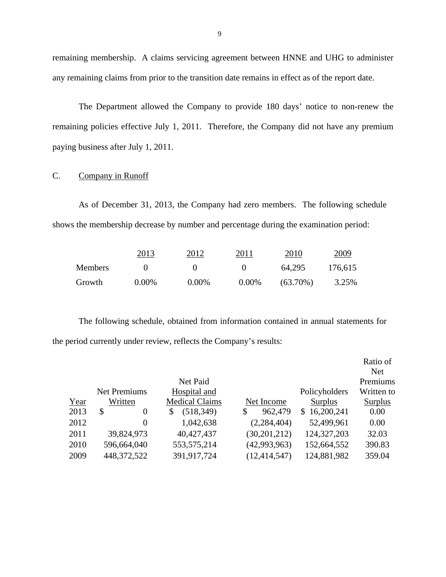remaining membership. A claims servicing agreement between HNNE and UHG to administer any remaining claims from prior to the transition date remains in effect as of the report date.

The Department allowed the Company to provide 180 days' notice to non-renew the remaining policies effective July 1, 2011. Therefore, the Company did not have any premium paying business after July 1, 2011.

## C. Company in Runoff

As of December 31, 2013, the Company had zero members. The following schedule shows the membership decrease by number and percentage during the examination period:

|         | 2013     | 2012     | 2011     | 2010        | 2009    |
|---------|----------|----------|----------|-------------|---------|
| Members |          |          |          | 64.295      | 176,615 |
| Growth  | $0.00\%$ | $0.00\%$ | $0.00\%$ | $(63.70\%)$ | 3.25%   |

The following schedule, obtained from information contained in annual statements for the period currently under review, reflects the Company's results:

|      |                      |                       |                |                | Ratio of   |
|------|----------------------|-----------------------|----------------|----------------|------------|
|      |                      |                       |                |                | <b>Net</b> |
|      |                      | Net Paid              |                |                | Premiums   |
|      | <b>Net Premiums</b>  | Hospital and          |                | Policyholders  | Written to |
| Year | Written              | <b>Medical Claims</b> | Net Income     | <b>Surplus</b> | Surplus    |
| 2013 | \$<br>$\overline{0}$ | \$<br>(518, 349)      | \$<br>962,479  | \$16,200,241   | 0.00       |
| 2012 | $\theta$             | 1,042,638             | (2, 284, 404)  | 52,499,961     | 0.00       |
| 2011 | 39,824,973           | 40,427,437            | (30, 201, 212) | 124,327,203    | 32.03      |
| 2010 | 596,664,040          | 553,575,214           | (42,993,963)   | 152,664,552    | 390.83     |
| 2009 | 448,372,522          | 391,917,724           | (12, 414, 547) | 124,881,982    | 359.04     |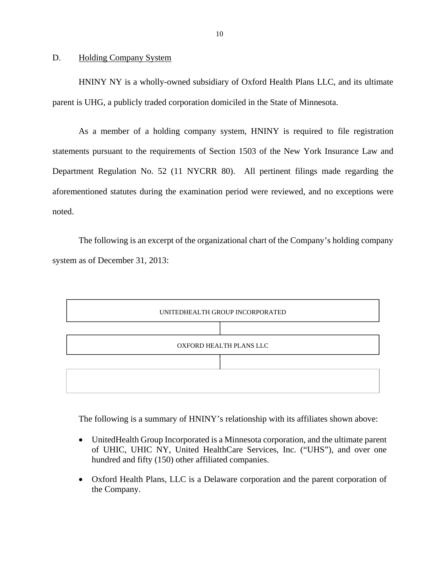#### <span id="page-11-0"></span>D. Holding Company System

HNINY NY is a wholly-owned subsidiary of Oxford Health Plans LLC, and its ultimate parent is UHG, a publicly traded corporation domiciled in the State of Minnesota.

As a member of a holding company system, HNINY is required to file registration statements pursuant to the requirements of Section 1503 of the New York Insurance Law and Department Regulation No. 52 (11 NYCRR 80). All pertinent filings made regarding the aforementioned statutes during the examination period were reviewed, and no exceptions were noted.

The following is an excerpt of the organizational chart of the Company's holding company system as of December 31, 2013:



The following is a summary of HNINY's relationship with its affiliates shown above:

- UnitedHealth Group Incorporated is a Minnesota corporation, and the ultimate parent of UHIC, UHIC NY, United HealthCare Services, Inc. ("UHS"), and over one hundred and fifty (150) other affiliated companies.
- Oxford Health Plans, LLC is a Delaware corporation and the parent corporation of the Company.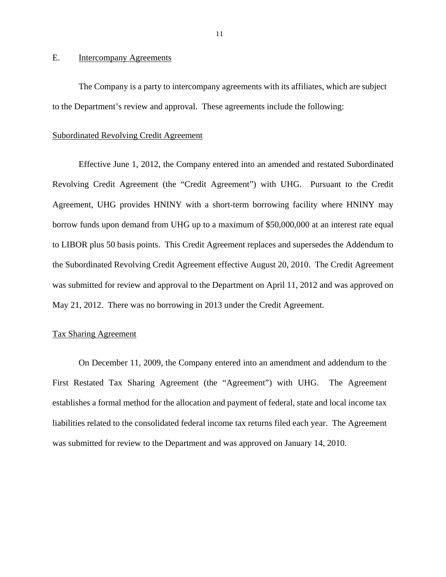## <span id="page-12-0"></span>E. Intercompany Agreements

The Company is a party to intercompany agreements with its affiliates, which are subject to the Department's review and approval. These agreements include the following:

#### Subordinated Revolving Credit Agreement

Effective June 1, 2012, the Company entered into an amended and restated Subordinated Revolving Credit Agreement (the "Credit Agreement") with UHG. Pursuant to the Credit Agreement, UHG provides HNINY with a short-term borrowing facility where HNINY may borrow funds upon demand from UHG up to a maximum of \$50,000,000 at an interest rate equal to LIBOR plus 50 basis points. This Credit Agreement replaces and supersedes the Addendum to the Subordinated Revolving Credit Agreement effective August 20, 2010. The Credit Agreement was submitted for review and approval to the Department on April 11, 2012 and was approved on May 21, 2012. There was no borrowing in 2013 under the Credit Agreement.

#### Tax Sharing Agreement

On December 11, 2009, the Company entered into an amendment and addendum to the First Restated Tax Sharing Agreement (the "Agreement") with UHG. The Agreement establishes a formal method for the allocation and payment of federal, state and local income tax liabilities related to the consolidated federal income tax returns filed each year. The Agreement was submitted for review to the Department and was approved on January 14, 2010.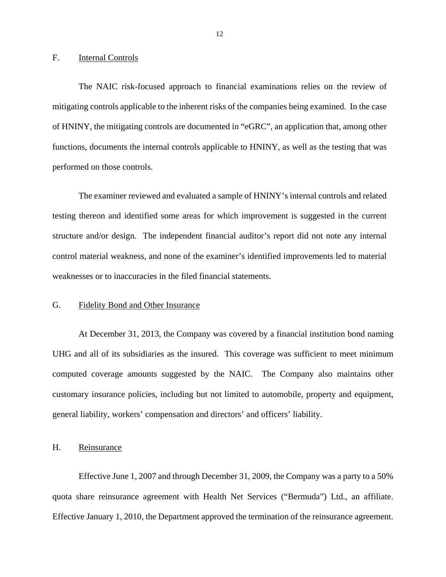#### <span id="page-13-0"></span>F. Internal Controls

The NAIC risk-focused approach to financial examinations relies on the review of mitigating controls applicable to the inherent risks of the companies being examined. In the case of HNINY, the mitigating controls are documented in "eGRC", an application that, among other functions, documents the internal controls applicable to HNINY, as well as the testing that was performed on those controls.

The examiner reviewed and evaluated a sample of HNINY's internal controls and related testing thereon and identified some areas for which improvement is suggested in the current structure and/or design. The independent financial auditor's report did not note any internal control material weakness, and none of the examiner's identified improvements led to material weaknesses or to inaccuracies in the filed financial statements.

## G. Fidelity Bond and Other Insurance

At December 31, 2013, the Company was covered by a financial institution bond naming UHG and all of its subsidiaries as the insured. This coverage was sufficient to meet minimum computed coverage amounts suggested by the NAIC. The Company also maintains other customary insurance policies, including but not limited to automobile, property and equipment, general liability, workers' compensation and directors' and officers' liability.

### H. Reinsurance

Effective June 1, 2007 and through December 31, 2009, the Company was a party to a 50% quota share reinsurance agreement with Health Net Services ("Bermuda") Ltd., an affiliate. Effective January 1, 2010, the Department approved the termination of the reinsurance agreement.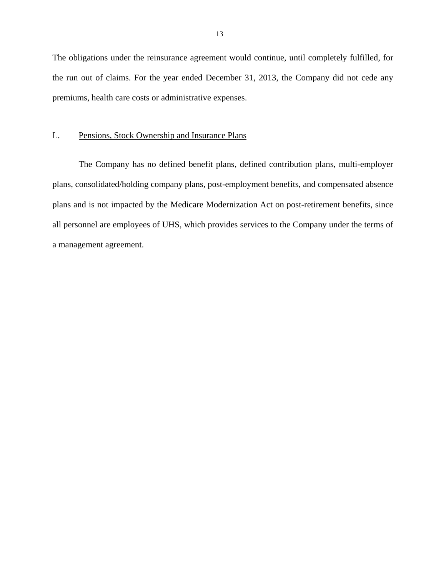<span id="page-14-0"></span>The obligations under the reinsurance agreement would continue, until completely fulfilled, for the run out of claims. For the year ended December 31, 2013, the Company did not cede any premiums, health care costs or administrative expenses.

#### L. Pensions, Stock Ownership and Insurance Plans

The Company has no defined benefit plans, defined contribution plans, multi-employer plans, consolidated/holding company plans, post-employment benefits, and compensated absence plans and is not impacted by the Medicare Modernization Act on post-retirement benefits, since all personnel are employees of UHS, which provides services to the Company under the terms of a management agreement.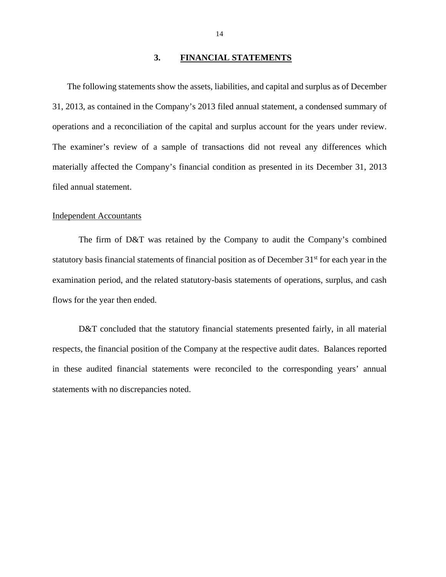#### **3. FINANCIAL STATEMENTS**

<span id="page-15-0"></span>The following statements show the assets, liabilities, and capital and surplus as of December 31, 2013, as contained in the Company's 2013 filed annual statement, a condensed summary of operations and a reconciliation of the capital and surplus account for the years under review. The examiner's review of a sample of transactions did not reveal any differences which materially affected the Company's financial condition as presented in its December 31, 2013 filed annual statement.

#### Independent Accountants

The firm of D&T was retained by the Company to audit the Company's combined statutory basis financial statements of financial position as of December 31<sup>st</sup> for each year in the examination period, and the related statutory-basis statements of operations, surplus, and cash flows for the year then ended.

D&T concluded that the statutory financial statements presented fairly, in all material respects, the financial position of the Company at the respective audit dates. Balances reported in these audited financial statements were reconciled to the corresponding years' annual statements with no discrepancies noted.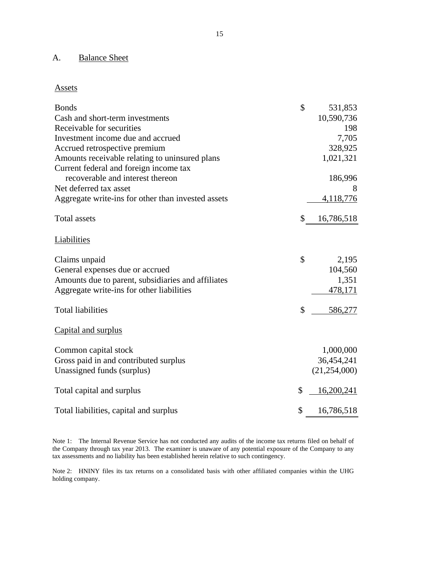## A. Balance Sheet

### Assets

| <b>Bonds</b><br>Cash and short-term investments                            | \$<br>531,853<br>10,590,736 |
|----------------------------------------------------------------------------|-----------------------------|
| Receivable for securities                                                  | 198                         |
| Investment income due and accrued                                          | 7,705                       |
| Accrued retrospective premium                                              | 328,925                     |
| Amounts receivable relating to uninsured plans                             | 1,021,321                   |
| Current federal and foreign income tax<br>recoverable and interest thereon | 186,996                     |
| Net deferred tax asset                                                     | 8                           |
| Aggregate write-ins for other than invested assets                         | 4,118,776                   |
| <b>Total assets</b>                                                        | \$<br>16,786,518            |
| Liabilities                                                                |                             |
| Claims unpaid                                                              | \$<br>2,195                 |
| General expenses due or accrued                                            | 104,560                     |
| Amounts due to parent, subsidiaries and affiliates                         | 1,351                       |
| Aggregate write-ins for other liabilities                                  | 478,171                     |
| <b>Total liabilities</b>                                                   | \$<br>586,277               |
| Capital and surplus                                                        |                             |
| Common capital stock                                                       | 1,000,000                   |
| Gross paid in and contributed surplus                                      | 36,454,241                  |
| Unassigned funds (surplus)                                                 | (21, 254, 000)              |
| Total capital and surplus                                                  | \$<br>16,200,241            |
| Total liabilities, capital and surplus                                     | \$<br>16,786,518            |

 Note 1: The Internal Revenue Service has not conducted any audits of the income tax returns filed on behalf of tax assessments and no liability has been established herein relative to such contingency. tax assessments and no liability has been established herein relative to such contingency. Note 2: HNINY files its tax returns on a consolidated basis with other affiliated companies within the UHG the Company through tax year 2013. The examiner is unaware of any potential exposure of the Company to any

holding company.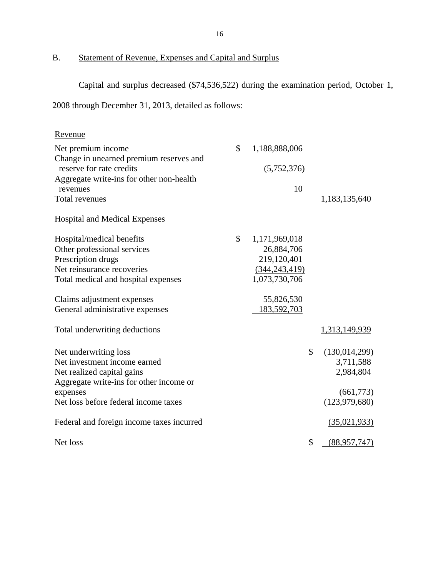<span id="page-17-0"></span>B. Statement of Revenue, Expenses and Capital and Surplus

Capital and surplus decreased (\$74,536,522) during the examination period, October 1,

2008 through December 31, 2013, detailed as follows:

| Revenue                                                             |                     |                       |
|---------------------------------------------------------------------|---------------------|-----------------------|
| Net premium income                                                  | \$<br>1,188,888,006 |                       |
| Change in unearned premium reserves and<br>reserve for rate credits | (5,752,376)         |                       |
| Aggregate write-ins for other non-health                            |                     |                       |
| revenues                                                            | 10                  |                       |
| Total revenues                                                      |                     | 1,183,135,640         |
| <b>Hospital and Medical Expenses</b>                                |                     |                       |
| Hospital/medical benefits                                           | \$<br>1,171,969,018 |                       |
| Other professional services                                         | 26,884,706          |                       |
| Prescription drugs                                                  | 219,120,401         |                       |
| Net reinsurance recoveries                                          | (344, 243, 419)     |                       |
| Total medical and hospital expenses                                 | 1,073,730,706       |                       |
| Claims adjustment expenses                                          | 55,826,530          |                       |
| General administrative expenses                                     | 183,592,703         |                       |
| Total underwriting deductions                                       |                     | 1,313,149,939         |
| Net underwriting loss                                               |                     | \$<br>(130, 014, 299) |
| Net investment income earned                                        |                     | 3,711,588             |
| Net realized capital gains                                          |                     | 2,984,804             |
| Aggregate write-ins for other income or                             |                     |                       |
| expenses                                                            |                     | (661,773)             |
| Net loss before federal income taxes                                |                     | (123, 979, 680)       |
| Federal and foreign income taxes incurred                           |                     | (35,021,933)          |
| Net loss                                                            |                     | \$<br>(88,957,747)    |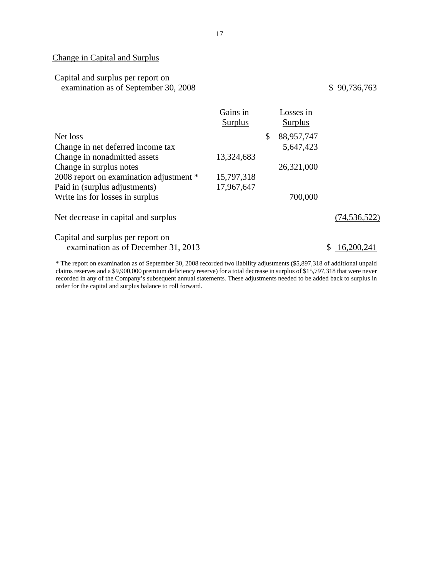## Change in Capital and Surplus

## Capital and surplus per report on examination as of September 30, 2008

## \$ 90,736,763

|                                         | Gains in<br>Surplus | Losses in<br>Surplus |                |
|-----------------------------------------|---------------------|----------------------|----------------|
| Net loss                                |                     | \$<br>88,957,747     |                |
| Change in net deferred income tax       |                     | 5,647,423            |                |
| Change in nonadmitted assets            | 13,324,683          |                      |                |
| Change in surplus notes                 |                     | 26,321,000           |                |
| 2008 report on examination adjustment * | 15,797,318          |                      |                |
| Paid in (surplus adjustments)           | 17,967,647          |                      |                |
| Write ins for losses in surplus         |                     | 700,000              |                |
| Net decrease in capital and surplus     |                     |                      | (74, 536, 522) |
| Capital and surplus per report on       |                     |                      |                |
| examination as of December 31, 2013     |                     |                      | 16,200,241     |

 claims reserves and a \$9,900,000 premium deficiency reserve) for a total decrease in surplus of \$15,797,318 that were never \* The report on examination as of September 30, 2008 recorded two liability adjustments (\$5,897,318 of additional unpaid recorded in any of the Company's subsequent annual statements. These adjustments needed to be added back to surplus in order for the capital and surplus balance to roll forward.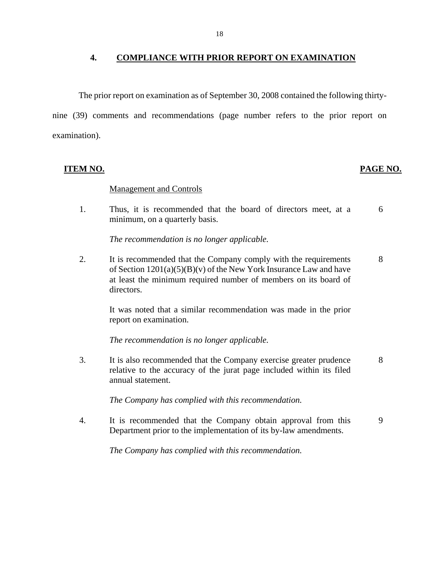### <span id="page-19-0"></span>**4. COMPLIANCE WITH PRIOR REPORT ON EXAMINATION**

The prior report on examination as of September 30, 2008 contained the following thirty-

nine (39) comments and recommendations (page number refers to the prior report on examination).

**ITEM NO. PAGE NO.** 

### Management and Controls

1. Thus, it is recommended that the board of directors meet, at a 6 minimum, on a quarterly basis.

*The recommendation is no longer applicable.* 

2. It is recommended that the Company comply with the requirements 8 of Section  $1201(a)(5)(B)(v)$  of the New York Insurance Law and have at least the minimum required number of members on its board of directors.

It was noted that a similar recommendation was made in the prior report on examination.

*The recommendation is no longer applicable.* 

3. It is also recommended that the Company exercise greater prudence 8 relative to the accuracy of the jurat page included within its filed annual statement.

*The Company has complied with this recommendation.* 

4. It is recommended that the Company obtain approval from this 9 Department prior to the implementation of its by-law amendments.

*The Company has complied with this recommendation.*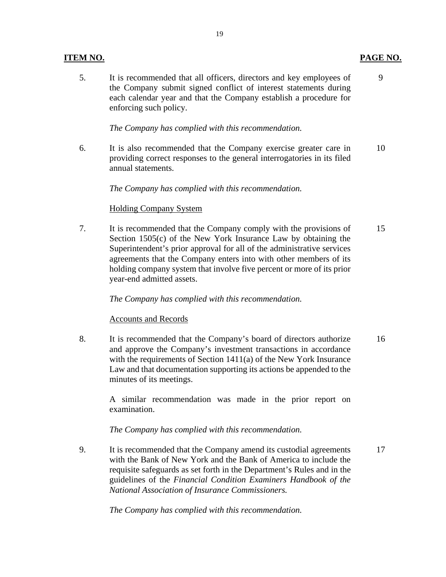5. It is recommended that all officers, directors and key employees of 9 the Company submit signed conflict of interest statements during each calendar year and that the Company establish a procedure for enforcing such policy.

*The Company has complied with this recommendation.* 

6. It is also recommended that the Company exercise greater care in 10 providing correct responses to the general interrogatories in its filed annual statements.

## *The Company has complied with this recommendation.*

## Holding Company System

7. It is recommended that the Company comply with the provisions of 15 Section 1505(c) of the New York Insurance Law by obtaining the Superintendent's prior approval for all of the administrative services agreements that the Company enters into with other members of its holding company system that involve five percent or more of its prior year-end admitted assets.

## *The Company has complied with this recommendation.*

## Accounts and Records

8. It is recommended that the Company's board of directors authorize 16 and approve the Company's investment transactions in accordance with the requirements of Section 1411(a) of the New York Insurance Law and that documentation supporting its actions be appended to the minutes of its meetings.

A similar recommendation was made in the prior report on examination.

## *The Company has complied with this recommendation.*

9. It is recommended that the Company amend its custodial agreements 17 with the Bank of New York and the Bank of America to include the requisite safeguards as set forth in the Department's Rules and in the guidelines of the *Financial Condition Examiners Handbook of the National Association of Insurance Commissioners.* 

*The Company has complied with this recommendation.* 

## **ITEM NO. PAGE NO.**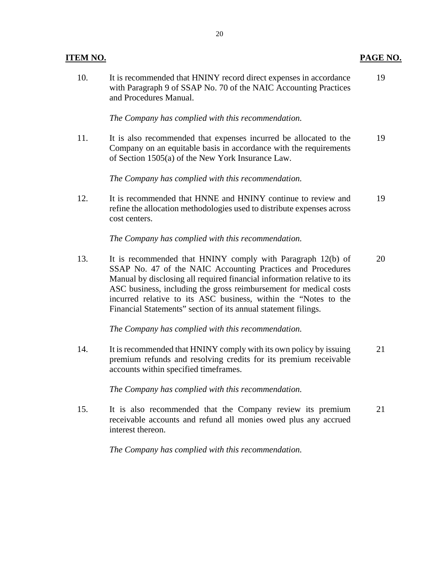10. It is recommended that HNINY record direct expenses in accordance 19 with Paragraph 9 of SSAP No. 70 of the NAIC Accounting Practices and Procedures Manual.

*The Company has complied with this recommendation.* 

11. It is also recommended that expenses incurred be allocated to the 19 Company on an equitable basis in accordance with the requirements of Section 1505(a) of the New York Insurance Law.

*The Company has complied with this recommendation.* 

12. It is recommended that HNNE and HNINY continue to review and 19 refine the allocation methodologies used to distribute expenses across cost centers.

*The Company has complied with this recommendation.* 

13. It is recommended that HNINY comply with Paragraph 12(b) of 20 SSAP No. 47 of the NAIC Accounting Practices and Procedures Manual by disclosing all required financial information relative to its ASC business, including the gross reimbursement for medical costs incurred relative to its ASC business, within the "Notes to the Financial Statements" section of its annual statement filings.

*The Company has complied with this recommendation.* 

14. It is recommended that HNINY comply with its own policy by issuing 21 premium refunds and resolving credits for its premium receivable accounts within specified timeframes.

*The Company has complied with this recommendation.* 

15. It is also recommended that the Company review its premium 21 receivable accounts and refund all monies owed plus any accrued interest thereon.

*The Company has complied with this recommendation.*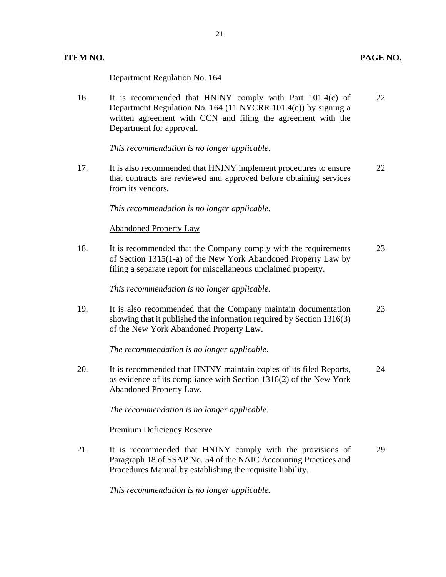## Department Regulation No. 164

16. It is recommended that HNINY comply with Part 101.4(c) of 22 Department Regulation No. 164 (11 NYCRR 101.4(c)) by signing a written agreement with CCN and filing the agreement with the Department for approval.

*This recommendation is no longer applicable.* 

17. It is also recommended that HNINY implement procedures to ensure 22 that contracts are reviewed and approved before obtaining services from its vendors.

*This recommendation is no longer applicable.* 

## Abandoned Property Law

18. It is recommended that the Company comply with the requirements 23 of Section 1315(1-a) of the New York Abandoned Property Law by filing a separate report for miscellaneous unclaimed property.

*This recommendation is no longer applicable.* 

19. It is also recommended that the Company maintain documentation 23 showing that it published the information required by Section 1316(3) of the New York Abandoned Property Law.

*The recommendation is no longer applicable.* 

20. It is recommended that HNINY maintain copies of its filed Reports, 24 as evidence of its compliance with Section 1316(2) of the New York Abandoned Property Law.

*The recommendation is no longer applicable.*

Premium Deficiency Reserve

21. It is recommended that HNINY comply with the provisions of 29 Paragraph 18 of SSAP No. 54 of the NAIC Accounting Practices and Procedures Manual by establishing the requisite liability.

*This recommendation is no longer applicable.*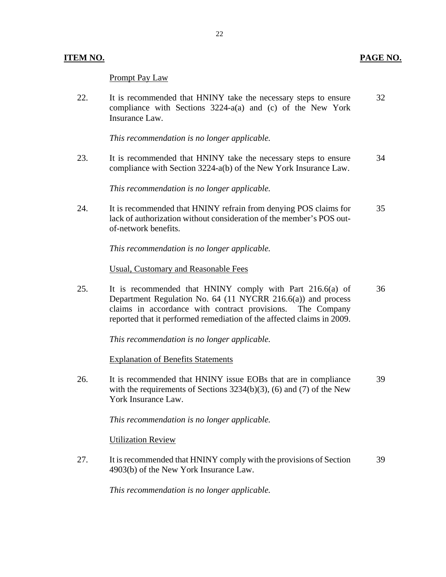## Prompt Pay Law

22. It is recommended that HNINY take the necessary steps to ensure 32 compliance with Sections 3224-a(a) and (c) of the New York Insurance Law.

*This recommendation is no longer applicable.* 

23. It is recommended that HNINY take the necessary steps to ensure 34 compliance with Section 3224-a(b) of the New York Insurance Law.

*This recommendation is no longer applicable.* 

24. It is recommended that HNINY refrain from denying POS claims for 35 lack of authorization without consideration of the member's POS outof-network benefits.

*This recommendation is no longer applicable.* 

## Usual, Customary and Reasonable Fees

25. It is recommended that HNINY comply with Part 216.6(a) of 36 Department Regulation No. 64 (11 NYCRR 216.6(a)) and process claims in accordance with contract provisions. The Company reported that it performed remediation of the affected claims in 2009.

*This recommendation is no longer applicable.* 

Explanation of Benefits Statements

26. It is recommended that HNINY issue EOBs that are in compliance 39 with the requirements of Sections  $3234(b)(3)$ , (6) and (7) of the New York Insurance Law.

*This recommendation is no longer applicable.*

Utilization Review

27. It is recommended that HNINY comply with the provisions of Section 39 4903(b) of the New York Insurance Law.

*This recommendation is no longer applicable.*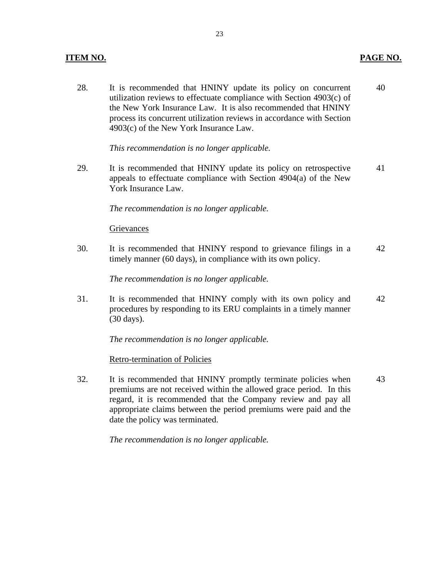## **ITEM NO. PAGE NO.**

28. It is recommended that HNINY update its policy on concurrent 40 utilization reviews to effectuate compliance with Section 4903(c) of the New York Insurance Law. It is also recommended that HNINY process its concurrent utilization reviews in accordance with Section 4903(c) of the New York Insurance Law.

*This recommendation is no longer applicable.* 

29. It is recommended that HNINY update its policy on retrospective 41 appeals to effectuate compliance with Section 4904(a) of the New York Insurance Law.

*The recommendation is no longer applicable.*

### **Grievances**

30. It is recommended that HNINY respond to grievance filings in a 42 timely manner (60 days), in compliance with its own policy.

*The recommendation is no longer applicable.* 

31. It is recommended that HNINY comply with its own policy and 42 procedures by responding to its ERU complaints in a timely manner (30 days).

*The recommendation is no longer applicable.* 

### Retro-termination of Policies

32. It is recommended that HNINY promptly terminate policies when 43 premiums are not received within the allowed grace period. In this regard, it is recommended that the Company review and pay all appropriate claims between the period premiums were paid and the date the policy was terminated.

*The recommendation is no longer applicable.*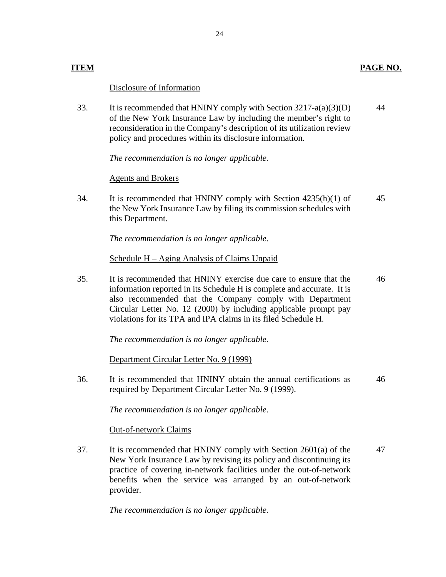## **ITEM PAGE NO.**

## Disclosure of Information

33. It is recommended that HNINY comply with Section 3217-a(a)(3)(D) of the New York Insurance Law by including the member's right to reconsideration in the Company's description of its utilization review policy and procedures within its disclosure information. 44

*The recommendation is no longer applicable.*

## Agents and Brokers

34. It is recommended that HNINY comply with Section 4235(h)(1) of the New York Insurance Law by filing its commission schedules with this Department. 45

*The recommendation is no longer applicable.* 

Schedule H – Aging Analysis of Claims Unpaid

35. It is recommended that HNINY exercise due care to ensure that the information reported in its Schedule H is complete and accurate. It is also recommended that the Company comply with Department Circular Letter No. 12 (2000) by including applicable prompt pay violations for its TPA and IPA claims in its filed Schedule H. 46

*The recommendation is no longer applicable.* 

Department Circular Letter No. 9 (1999)

36. It is recommended that HNINY obtain the annual certifications as required by Department Circular Letter No. 9 (1999). 46

*The recommendation is no longer applicable.*

Out-of-network Claims

37. It is recommended that HNINY comply with Section 2601(a) of the New York Insurance Law by revising its policy and discontinuing its practice of covering in-network facilities under the out-of-network benefits when the service was arranged by an out-of-network provider. 47

*The recommendation is no longer applicable.*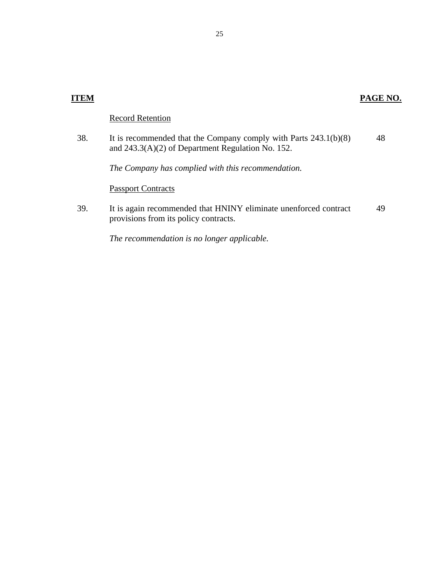| 'EM |                                                                                                                           | PAGE NO. |
|-----|---------------------------------------------------------------------------------------------------------------------------|----------|
|     | <b>Record Retention</b>                                                                                                   |          |
| 38. | It is recommended that the Company comply with Parts $243.1(b)(8)$<br>and $243.3(A)(2)$ of Department Regulation No. 152. | 48       |
|     | The Company has complied with this recommendation.                                                                        |          |
|     | <b>Passport Contracts</b>                                                                                                 |          |
| 39. | It is again recommended that HNINY eliminate unenforced contract<br>provisions from its policy contracts.                 | 49       |
|     | The recommendation is no longer applicable.                                                                               |          |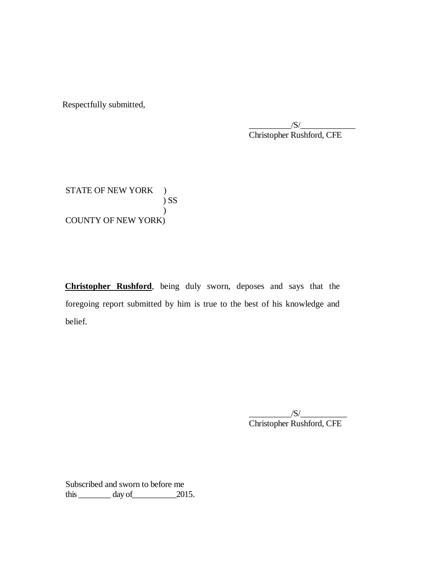Respectfully submitted,

 $\ddot{\phantom{0}}$  $/S/\sim$ Christopher Rushford, CFE

STATE OF NEW YORK ) COUNTY OF NEW YORK) ) SS )

 **Christopher Rushford**, being duly sworn, deposes and says that the foregoing report submitted by him is true to the best of his knowledge and belief. belief.  $\frac{1}{s}$ 

Christopher Rushford, CFE

 Subscribed and sworn to before me this  $\_\_\_\_\_$  day of  $\_\_\_\_$  2015.